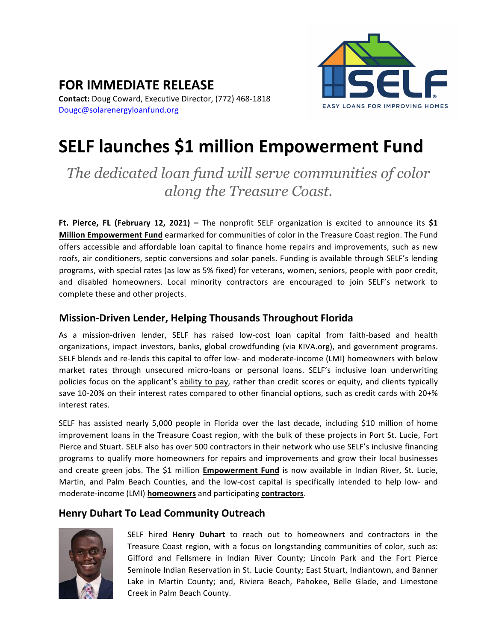

#### **FOR IMMEDIATE RELEASE Contact:** Doug Coward, Executive Director, (772) 468-1818 Dougc@solarenergyloanfund.org

# **SELF launches \$1 million Empowerment Fund**

## *The dedicated loan fund will serve communities of color along the Treasure Coast.*

**Ft. Pierce, FL (February 12, 2021)** – The nonprofit SELF organization is excited to announce its  $\frac{61}{1}$ **Million Empowerment Fund** earmarked for communities of color in the Treasure Coast region. The Fund offers accessible and affordable loan capital to finance home repairs and improvements, such as new roofs, air conditioners, septic conversions and solar panels. Funding is available through SELF's lending programs, with special rates (as low as 5% fixed) for veterans, women, seniors, people with poor credit, and disabled homeowners. Local minority contractors are encouraged to join SELF's network to complete these and other projects.

#### **Mission-Driven Lender, Helping Thousands Throughout Florida**

As a mission-driven lender, SELF has raised low-cost loan capital from faith-based and health organizations, impact investors, banks, global crowdfunding (via KIVA.org), and government programs. SELF blends and re-lends this capital to offer low- and moderate-income (LMI) homeowners with below market rates through unsecured micro-loans or personal loans. SELF's inclusive loan underwriting policies focus on the applicant's ability to pay, rather than credit scores or equity, and clients typically save 10-20% on their interest rates compared to other financial options, such as credit cards with 20+% interest rates.

SELF has assisted nearly 5,000 people in Florida over the last decade, including \$10 million of home improvement loans in the Treasure Coast region, with the bulk of these projects in Port St. Lucie, Fort Pierce and Stuart. SELF also has over 500 contractors in their network who use SELF's inclusive financing programs to qualify more homeowners for repairs and improvements and grow their local businesses and create green jobs. The \$1 million **Empowerment Fund** is now available in Indian River, St. Lucie, Martin, and Palm Beach Counties, and the low-cost capital is specifically intended to help low- and moderate-income (LMI) **homeowners** and participating **contractors**.

### **Henry Duhart To Lead Community Outreach**



SELF hired **Henry Duhart** to reach out to homeowners and contractors in the Treasure Coast region, with a focus on longstanding communities of color, such as: Gifford and Fellsmere in Indian River County; Lincoln Park and the Fort Pierce Seminole Indian Reservation in St. Lucie County; East Stuart, Indiantown, and Banner Lake in Martin County; and, Riviera Beach, Pahokee, Belle Glade, and Limestone Creek in Palm Beach County.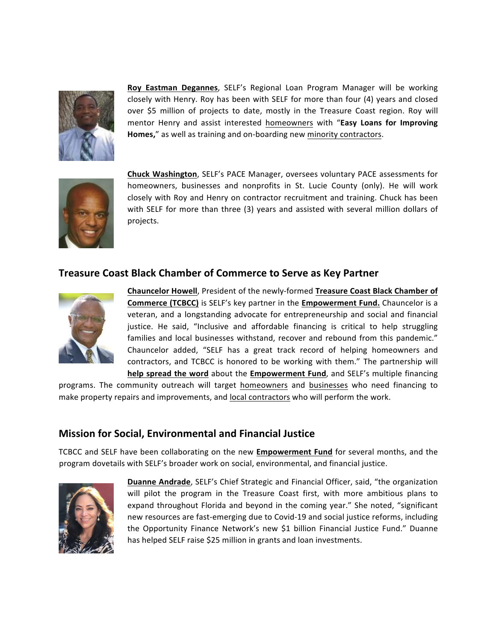

**Roy Eastman Degannes, SELF's Regional Loan Program Manager will be working** closely with Henry. Roy has been with SELF for more than four (4) years and closed over \$5 million of projects to date, mostly in the Treasure Coast region. Roy will mentor Henry and assist interested homeowners with "Easy Loans for Improving Homes," as well as training and on-boarding new minority contractors.



**Chuck Washington**, SELF's PACE Manager, oversees voluntary PACE assessments for homeowners, businesses and nonprofits in St. Lucie County (only). He will work closely with Roy and Henry on contractor recruitment and training. Chuck has been with SELF for more than three (3) years and assisted with several million dollars of projects.

#### **Treasure Coast Black Chamber of Commerce to Serve as Key Partner**



**Chauncelor Howell, President of the newly-formed Treasure Coast Black Chamber of Commerce (TCBCC)** is SELF's key partner in the **Empowerment Fund.** Chauncelor is a veteran, and a longstanding advocate for entrepreneurship and social and financial justice. He said, "Inclusive and affordable financing is critical to help struggling families and local businesses withstand, recover and rebound from this pandemic." Chauncelor added, "SELF has a great track record of helping homeowners and contractors, and TCBCC is honored to be working with them." The partnership will **help spread the word** about the **Empowerment Fund**, and SELF's multiple financing

programs. The community outreach will target homeowners and businesses who need financing to make property repairs and improvements, and local contractors who will perform the work.

#### **Mission for Social, Environmental and Financial Justice**

TCBCC and SELF have been collaborating on the new Empowerment Fund for several months, and the program dovetails with SELF's broader work on social, environmental, and financial justice.



**Duanne Andrade**, SELF's Chief Strategic and Financial Officer, said, "the organization will pilot the program in the Treasure Coast first, with more ambitious plans to expand throughout Florida and beyond in the coming year." She noted, "significant new resources are fast-emerging due to Covid-19 and social justice reforms, including the Opportunity Finance Network's new \$1 billion Financial Justice Fund." Duanne has helped SELF raise \$25 million in grants and loan investments.